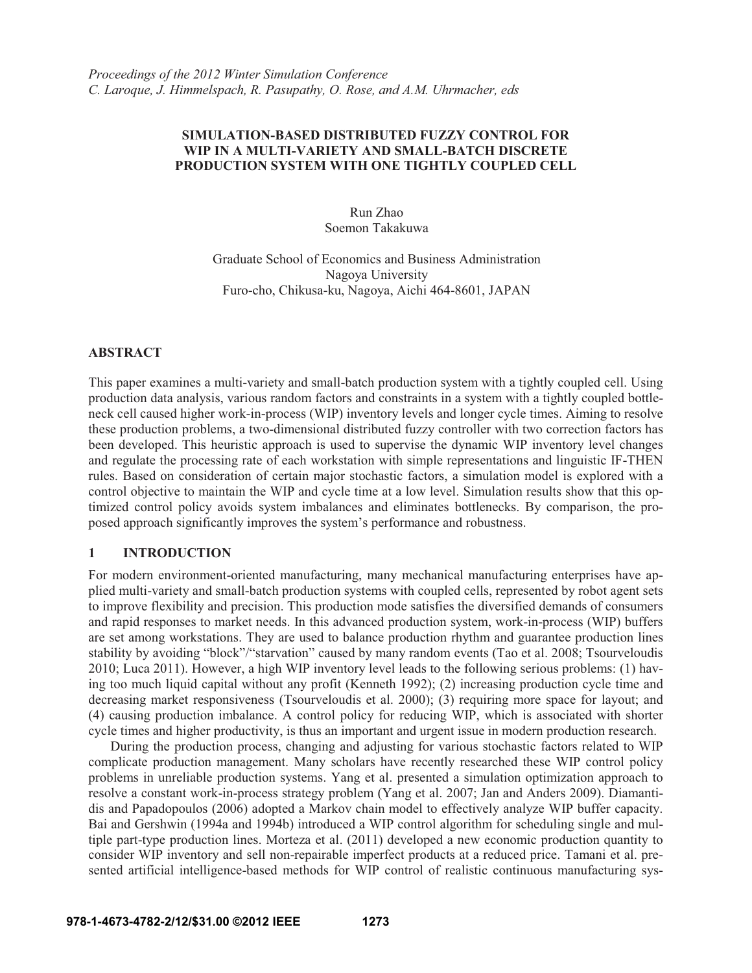# **SIMULATION-BASED DISTRIBUTED FUZZY CONTROL FOR WIP IN A MULTI-VARIETY AND SMALL-BATCH DISCRETE PRODUCTION SYSTEM WITH ONE TIGHTLY COUPLED CELL**

Run Zhao Soemon Takakuwa

Graduate School of Economics and Business Administration Nagoya University Furo-cho, Chikusa-ku, Nagoya, Aichi 464-8601, JAPAN

# **ABSTRACT**

This paper examines a multi-variety and small-batch production system with a tightly coupled cell. Using production data analysis, various random factors and constraints in a system with a tightly coupled bottleneck cell caused higher work-in-process (WIP) inventory levels and longer cycle times. Aiming to resolve these production problems, a two-dimensional distributed fuzzy controller with two correction factors has been developed. This heuristic approach is used to supervise the dynamic WIP inventory level changes and regulate the processing rate of each workstation with simple representations and linguistic IF-THEN rules. Based on consideration of certain major stochastic factors, a simulation model is explored with a control objective to maintain the WIP and cycle time at a low level. Simulation results show that this optimized control policy avoids system imbalances and eliminates bottlenecks. By comparison, the proposed approach significantly improves the system's performance and robustness.

# **1 INTRODUCTION**

For modern environment-oriented manufacturing, many mechanical manufacturing enterprises have applied multi-variety and small-batch production systems with coupled cells, represented by robot agent sets to improve flexibility and precision. This production mode satisfies the diversified demands of consumers and rapid responses to market needs. In this advanced production system, work-in-process (WIP) buffers are set among workstations. They are used to balance production rhythm and guarantee production lines stability by avoiding "block"/"starvation" caused by many random events (Tao et al. 2008; Tsourveloudis 2010; Luca 2011). However, a high WIP inventory level leads to the following serious problems: (1) having too much liquid capital without any profit (Kenneth 1992); (2) increasing production cycle time and decreasing market responsiveness (Tsourveloudis et al. 2000); (3) requiring more space for layout; and (4) causing production imbalance. A control policy for reducing WIP, which is associated with shorter cycle times and higher productivity, is thus an important and urgent issue in modern production research.

During the production process, changing and adjusting for various stochastic factors related to WIP complicate production management. Many scholars have recently researched these WIP control policy problems in unreliable production systems. Yang et al. presented a simulation optimization approach to resolve a constant work-in-process strategy problem (Yang et al. 2007; Jan and Anders 2009). Diamantidis and Papadopoulos (2006) adopted a Markov chain model to effectively analyze WIP buffer capacity. Bai and Gershwin (1994a and 1994b) introduced a WIP control algorithm for scheduling single and multiple part-type production lines. Morteza et al. (2011) developed a new economic production quantity to consider WIP inventory and sell non-repairable imperfect products at a reduced price. Tamani et al. presented artificial intelligence-based methods for WIP control of realistic continuous manufacturing sys-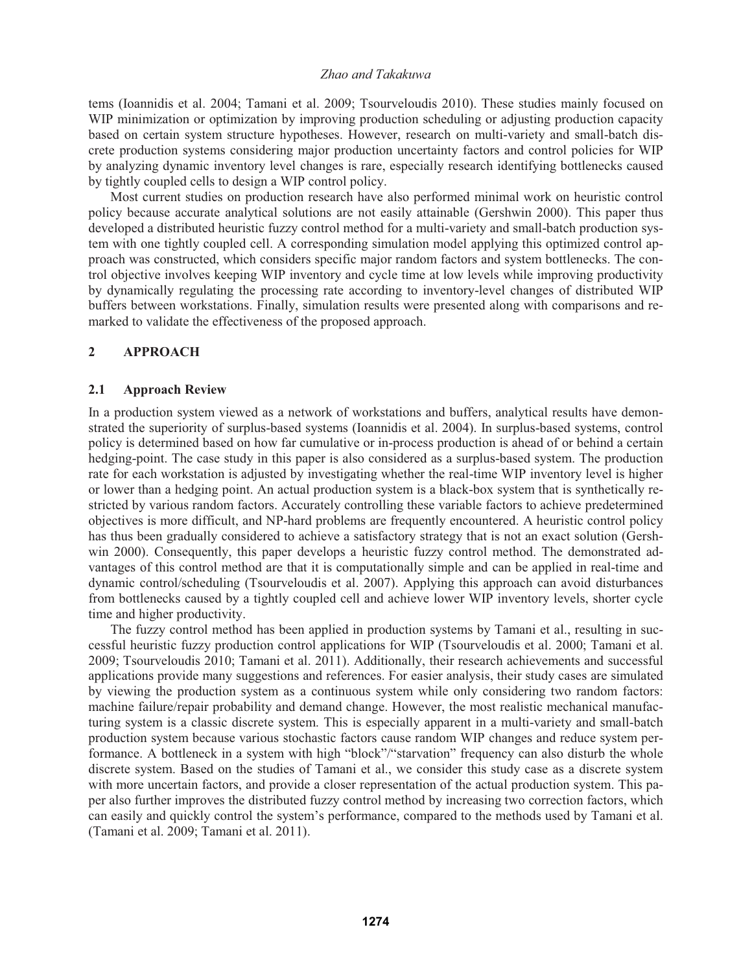tems (Ioannidis et al. 2004; Tamani et al. 2009; Tsourveloudis 2010). These studies mainly focused on WIP minimization or optimization by improving production scheduling or adjusting production capacity based on certain system structure hypotheses. However, research on multi-variety and small-batch discrete production systems considering major production uncertainty factors and control policies for WIP by analyzing dynamic inventory level changes is rare, especially research identifying bottlenecks caused by tightly coupled cells to design a WIP control policy.

Most current studies on production research have also performed minimal work on heuristic control policy because accurate analytical solutions are not easily attainable (Gershwin 2000). This paper thus developed a distributed heuristic fuzzy control method for a multi-variety and small-batch production system with one tightly coupled cell. A corresponding simulation model applying this optimized control approach was constructed, which considers specific major random factors and system bottlenecks. The control objective involves keeping WIP inventory and cycle time at low levels while improving productivity by dynamically regulating the processing rate according to inventory-level changes of distributed WIP buffers between workstations. Finally, simulation results were presented along with comparisons and remarked to validate the effectiveness of the proposed approach.

# **2 APPROACH**

# **2.1 Approach Review**

In a production system viewed as a network of workstations and buffers, analytical results have demonstrated the superiority of surplus-based systems (Ioannidis et al. 2004). In surplus-based systems, control policy is determined based on how far cumulative or in-process production is ahead of or behind a certain hedging-point. The case study in this paper is also considered as a surplus-based system. The production rate for each workstation is adjusted by investigating whether the real-time WIP inventory level is higher or lower than a hedging point. An actual production system is a black-box system that is synthetically restricted by various random factors. Accurately controlling these variable factors to achieve predetermined objectives is more difficult, and NP-hard problems are frequently encountered. A heuristic control policy has thus been gradually considered to achieve a satisfactory strategy that is not an exact solution (Gershwin 2000). Consequently, this paper develops a heuristic fuzzy control method. The demonstrated advantages of this control method are that it is computationally simple and can be applied in real-time and dynamic control/scheduling (Tsourveloudis et al. 2007). Applying this approach can avoid disturbances from bottlenecks caused by a tightly coupled cell and achieve lower WIP inventory levels, shorter cycle time and higher productivity.

The fuzzy control method has been applied in production systems by Tamani et al., resulting in successful heuristic fuzzy production control applications for WIP (Tsourveloudis et al. 2000; Tamani et al. 2009; Tsourveloudis 2010; Tamani et al. 2011). Additionally, their research achievements and successful applications provide many suggestions and references. For easier analysis, their study cases are simulated by viewing the production system as a continuous system while only considering two random factors: machine failure/repair probability and demand change. However, the most realistic mechanical manufacturing system is a classic discrete system. This is especially apparent in a multi-variety and small-batch production system because various stochastic factors cause random WIP changes and reduce system performance. A bottleneck in a system with high "block"/"starvation" frequency can also disturb the whole discrete system. Based on the studies of Tamani et al., we consider this study case as a discrete system with more uncertain factors, and provide a closer representation of the actual production system. This paper also further improves the distributed fuzzy control method by increasing two correction factors, which can easily and quickly control the system's performance, compared to the methods used by Tamani et al. (Tamani et al. 2009; Tamani et al. 2011).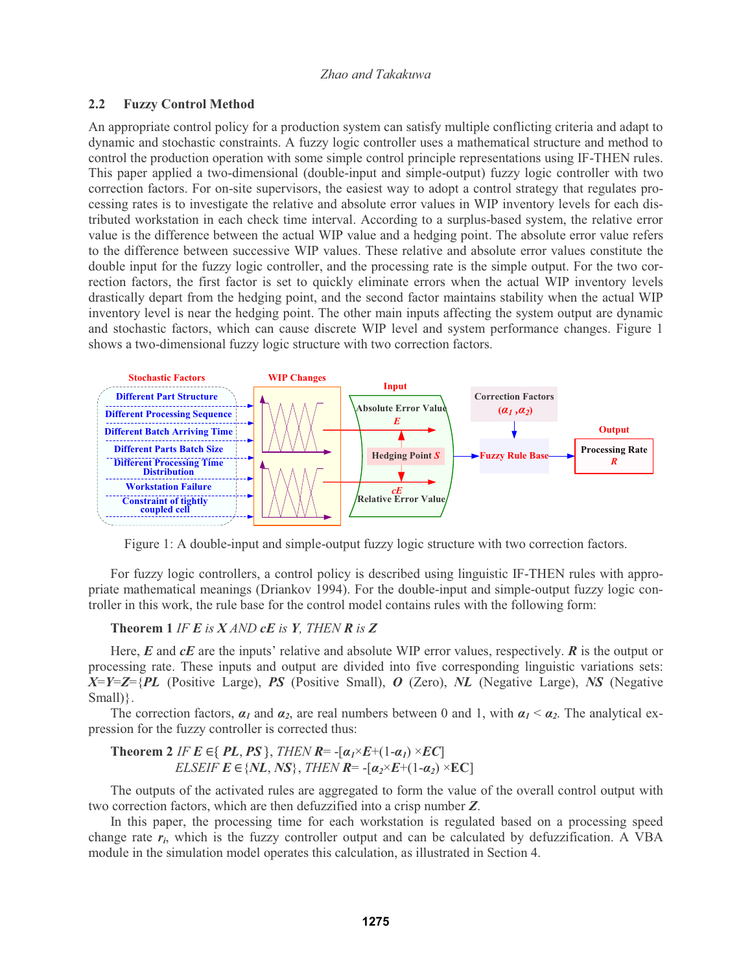## **2.2 Fuzzy Control Method**

An appropriate control policy for a production system can satisfy multiple conflicting criteria and adapt to dynamic and stochastic constraints. A fuzzy logic controller uses a mathematical structure and method to control the production operation with some simple control principle representations using IF-THEN rules. This paper applied a two-dimensional (double-input and simple-output) fuzzy logic controller with two correction factors. For on-site supervisors, the easiest way to adopt a control strategy that regulates processing rates is to investigate the relative and absolute error values in WIP inventory levels for each distributed workstation in each check time interval. According to a surplus-based system, the relative error value is the difference between the actual WIP value and a hedging point. The absolute error value refers to the difference between successive WIP values. These relative and absolute error values constitute the double input for the fuzzy logic controller, and the processing rate is the simple output. For the two correction factors, the first factor is set to quickly eliminate errors when the actual WIP inventory levels drastically depart from the hedging point, and the second factor maintains stability when the actual WIP inventory level is near the hedging point. The other main inputs affecting the system output are dynamic and stochastic factors, which can cause discrete WIP level and system performance changes. Figure 1 shows a two-dimensional fuzzy logic structure with two correction factors.



Figure 1: A double-input and simple-output fuzzy logic structure with two correction factors.

For fuzzy logic controllers, a control policy is described using linguistic IF-THEN rules with appropriate mathematical meanings (Driankov 1994). For the double-input and simple-output fuzzy logic controller in this work, the rule base for the control model contains rules with the following form:

# **Theorem 1** *IF E is <i>XAND**cE* is *Y*, *THEN R* is *Z*

Here, *E* and *cE* are the inputs' relative and absolute WIP error values, respectively. *R* is the output or processing rate. These inputs and output are divided into five corresponding linguistic variations sets: *X*=*Y*=*Z*={*PL* (Positive Large), *PS* (Positive Small), *O* (Zero), *NL* (Negative Large), *NS* (Negative Small).

The correction factors,  $\alpha_I$  and  $\alpha_2$ , are real numbers between 0 and 1, with  $\alpha_I < \alpha_2$ . The analytical expression for the fuzzy controller is corrected thus:

**Theorem 2** *IF*  $E \in \{PL, PS\}$ , *THEN*  $R = -[a_1 \times E + (1-a_1) \times EC]$ *ELSEIF*  $E \in \{NL, NS\}$ , *THEN*  $R = -[a_2 \times E + (1-a_2) \times EC]$ 

The outputs of the activated rules are aggregated to form the value of the overall control output with two correction factors, which are then defuzzified into a crisp number *Z*.

In this paper, the processing time for each workstation is regulated based on a processing speed change rate *ri*, which is the fuzzy controller output and can be calculated by defuzzification. A VBA module in the simulation model operates this calculation, as illustrated in Section 4.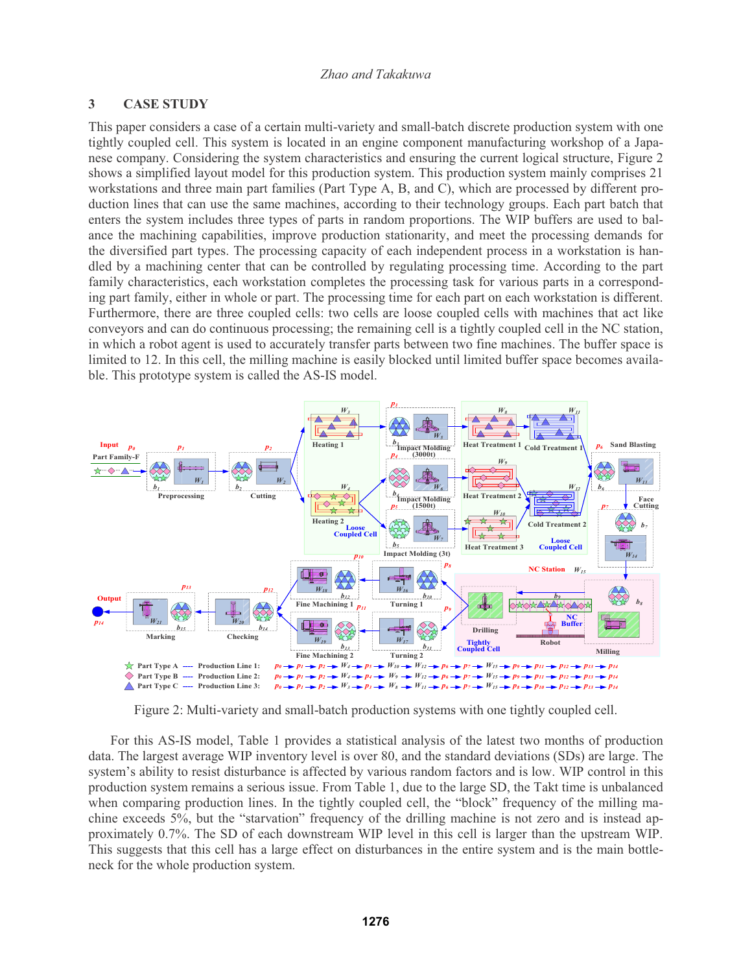# **3 CASE STUDY**

This paper considers a case of a certain multi-variety and small-batch discrete production system with one tightly coupled cell. This system is located in an engine component manufacturing workshop of a Japanese company. Considering the system characteristics and ensuring the current logical structure, Figure 2 shows a simplified layout model for this production system. This production system mainly comprises 21 workstations and three main part families (Part Type A, B, and C), which are processed by different production lines that can use the same machines, according to their technology groups. Each part batch that enters the system includes three types of parts in random proportions. The WIP buffers are used to balance the machining capabilities, improve production stationarity, and meet the processing demands for the diversified part types. The processing capacity of each independent process in a workstation is handled by a machining center that can be controlled by regulating processing time. According to the part family characteristics, each workstation completes the processing task for various parts in a corresponding part family, either in whole or part. The processing time for each part on each workstation is different. Furthermore, there are three coupled cells: two cells are loose coupled cells with machines that act like conveyors and can do continuous processing; the remaining cell is a tightly coupled cell in the NC station, in which a robot agent is used to accurately transfer parts between two fine machines. The buffer space is limited to 12. In this cell, the milling machine is easily blocked until limited buffer space becomes available. This prototype system is called the AS-IS model.



Figure 2: Multi-variety and small-batch production systems with one tightly coupled cell.

For this AS-IS model, Table 1 provides a statistical analysis of the latest two months of production data. The largest average WIP inventory level is over 80, and the standard deviations (SDs) are large. The system's ability to resist disturbance is affected by various random factors and is low. WIP control in this production system remains a serious issue. From Table 1, due to the large SD, the Takt time is unbalanced when comparing production lines. In the tightly coupled cell, the "block" frequency of the milling machine exceeds 5%, but the "starvation" frequency of the drilling machine is not zero and is instead approximately 0.7%. The SD of each downstream WIP level in this cell is larger than the upstream WIP. This suggests that this cell has a large effect on disturbances in the entire system and is the main bottleneck for the whole production system.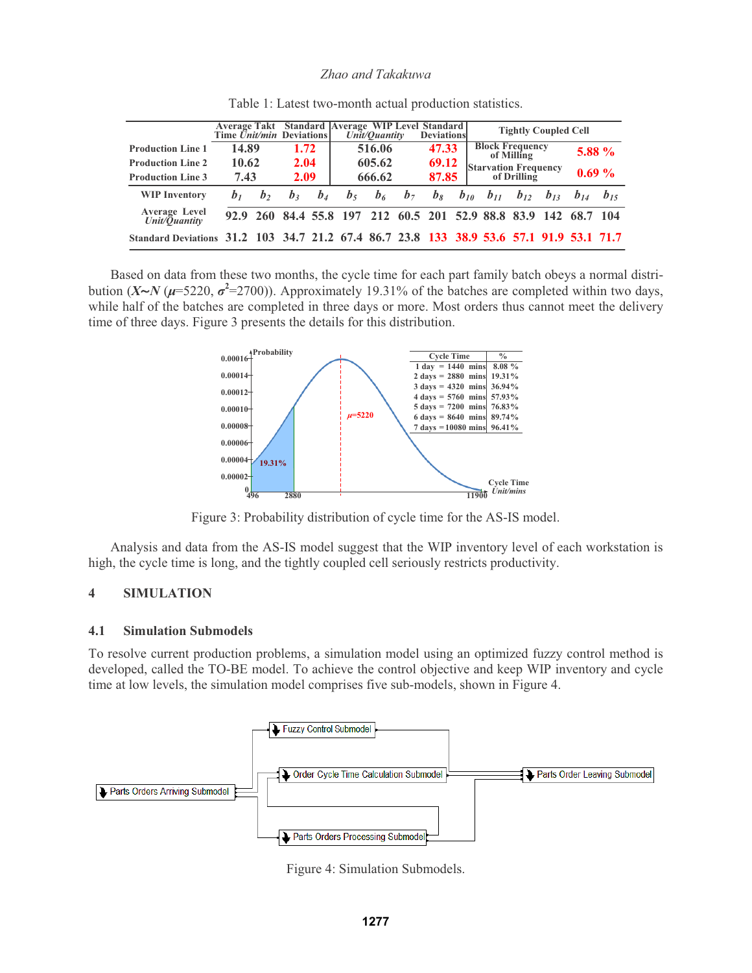|                                        | Time Unit/min Deviations |                |                |       | Average Takt Standard Average WIP Level Standard<br>Unit/Ouantity |                | <b>Deviations</b> |       |  | <b>Tightly Coupled Cell</b>                                     |             |  |          |  |
|----------------------------------------|--------------------------|----------------|----------------|-------|-------------------------------------------------------------------|----------------|-------------------|-------|--|-----------------------------------------------------------------|-------------|--|----------|--|
| <b>Production Line 1</b>               | 14.89                    |                | 1.72           |       |                                                                   | 516.06         |                   | 47.33 |  | <b>Block Frequency</b>                                          | of Milling  |  | 5.88%    |  |
| <b>Production Line 2</b>               | 10.62                    |                | 2.04           |       |                                                                   | 605.62         |                   | 69.12 |  | <b>Starvation Frequency</b>                                     |             |  |          |  |
| <b>Production Line 3</b>               | 7.43                     |                | 2.09           |       |                                                                   | 666.62         |                   | 87.85 |  |                                                                 | of Drilling |  | $0.69\%$ |  |
| <b>WIP Inventory</b>                   | b <sub>1</sub>           | b <sub>2</sub> | b <sub>3</sub> | $b_4$ | b <sub>5</sub>                                                    | b <sub>6</sub> | $\bm{b}_7$        |       |  | $b_8$ $b_{10}$ $b_{11}$ $b_{12}$ $b_{13}$ $b_{14}$ $b_{15}$     |             |  |          |  |
| Average Level<br>Unit/ <i>Quantity</i> |                          |                |                |       |                                                                   |                |                   |       |  | 92.9 260 84.4 55.8 197 212 60.5 201 52.9 88.8 83.9 142 68.7 104 |             |  |          |  |
| <b>Standard Deviations</b>             |                          | 31.2 103       |                |       |                                                                   |                |                   |       |  | 34.7 21.2 67.4 86.7 23.8 133 38.9 53.6 57.1 91.9 53.1 71.7      |             |  |          |  |

Table 1: Latest two-month actual production statistics.

Based on data from these two months, the cycle time for each part family batch obeys a normal distribution  $(X \sim N (\mu = 5220, \sigma^2 = 2700)$ ). Approximately 19.31% of the batches are completed within two days, while half of the batches are completed in three days or more. Most orders thus cannot meet the delivery time of three days. Figure 3 presents the details for this distribution.



Figure 3: Probability distribution of cycle time for the AS-IS model.

Analysis and data from the AS-IS model suggest that the WIP inventory level of each workstation is high, the cycle time is long, and the tightly coupled cell seriously restricts productivity.

## **4 SIMULATION**

### **4.1 Simulation Submodels**

To resolve current production problems, a simulation model using an optimized fuzzy control method is developed, called the TO-BE model. To achieve the control objective and keep WIP inventory and cycle time at low levels, the simulation model comprises five sub-models, shown in Figure 4.



Figure 4: Simulation Submodels.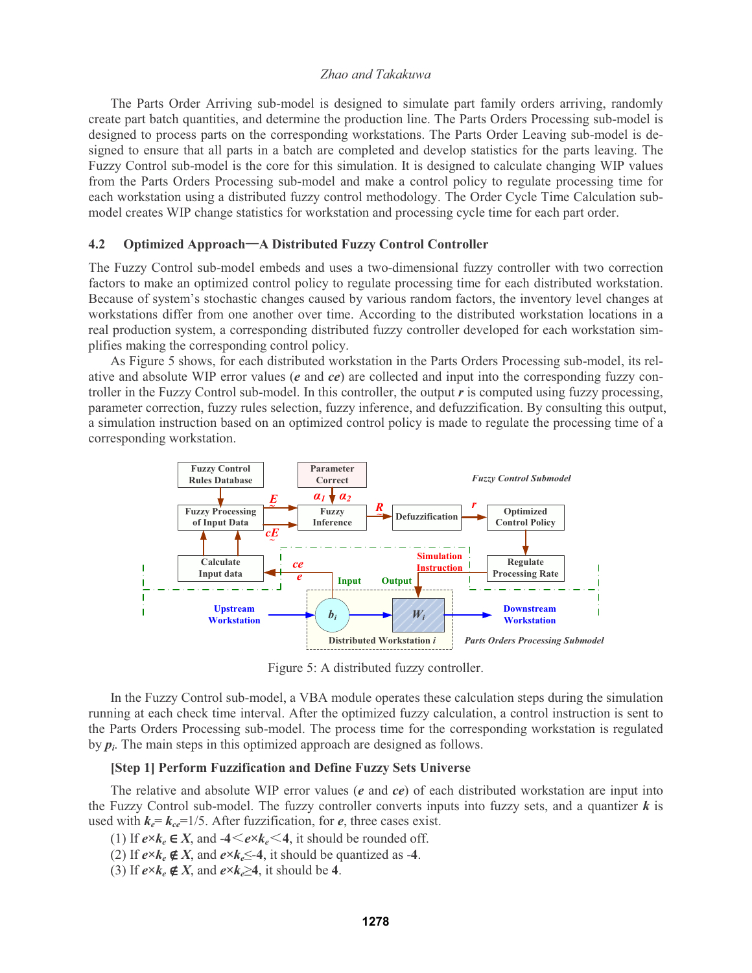The Parts Order Arriving sub-model is designed to simulate part family orders arriving, randomly create part batch quantities, and determine the production line. The Parts Orders Processing sub-model is designed to process parts on the corresponding workstations. The Parts Order Leaving sub-model is designed to ensure that all parts in a batch are completed and develop statistics for the parts leaving. The Fuzzy Control sub-model is the core for this simulation. It is designed to calculate changing WIP values from the Parts Orders Processing sub-model and make a control policy to regulate processing time for each workstation using a distributed fuzzy control methodology. The Order Cycle Time Calculation submodel creates WIP change statistics for workstation and processing cycle time for each part order.

### **4.2 Optimized Approach—A Distributed Fuzzy Control Controller**

The Fuzzy Control sub-model embeds and uses a two-dimensional fuzzy controller with two correction factors to make an optimized control policy to regulate processing time for each distributed workstation. Because of system's stochastic changes caused by various random factors, the inventory level changes at workstations differ from one another over time. According to the distributed workstation locations in a real production system, a corresponding distributed fuzzy controller developed for each workstation simplifies making the corresponding control policy.

As Figure 5 shows, for each distributed workstation in the Parts Orders Processing sub-model, its relative and absolute WIP error values (*e* and *ce*) are collected and input into the corresponding fuzzy controller in the Fuzzy Control sub-model. In this controller, the output *r* is computed using fuzzy processing, parameter correction, fuzzy rules selection, fuzzy inference, and defuzzification. By consulting this output, a simulation instruction based on an optimized control policy is made to regulate the processing time of a corresponding workstation.



Figure 5: A distributed fuzzy controller.

In the Fuzzy Control sub-model, a VBA module operates these calculation steps during the simulation running at each check time interval. After the optimized fuzzy calculation, a control instruction is sent to the Parts Orders Processing sub-model. The process time for the corresponding workstation is regulated by *pi*. The main steps in this optimized approach are designed as follows.

### **[Step 1] Perform Fuzzification and Define Fuzzy Sets Universe**

The relative and absolute WIP error values (*e* and *ce*) of each distributed workstation are input into the Fuzzy Control sub-model. The fuzzy controller converts inputs into fuzzy sets, and a quantizer *k* is used with  $k_e = k_{ce} = 1/5$ . After fuzzification, for *e*, three cases exist.

(1) If  $e \times k_e \in X$ , and  $-4 \leq e \times k_e \leq 4$ , it should be rounded off.

(2) If  $e \times k_e \notin X$ , and  $e \times k_e \leq -4$ , it should be quantized as -4.

(3) If  $e \times k_e \notin X$ , and  $e \times k_e \geq 4$ , it should be 4.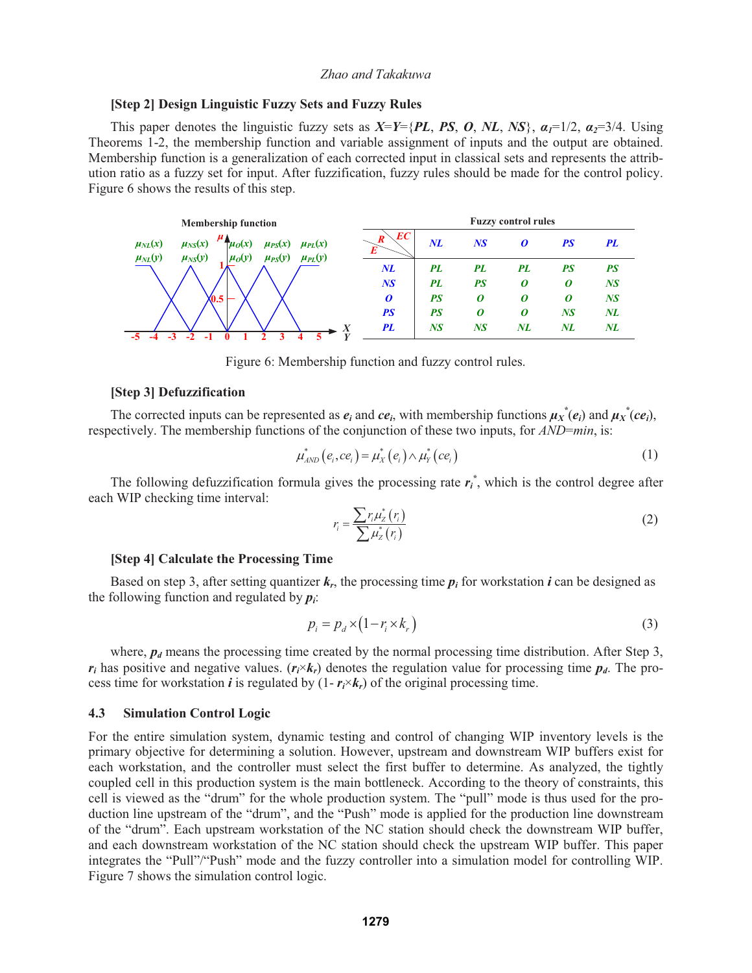#### **[Step 2] Design Linguistic Fuzzy Sets and Fuzzy Rules**

This paper denotes the linguistic fuzzy sets as  $X=Y=\{PL, PS, O, NL, NS\}$ ,  $\alpha_1=1/2$ ,  $\alpha_2=3/4$ . Using Theorems 1-2, the membership function and variable assignment of inputs and the output are obtained. Membership function is a generalization of each corrected input in classical sets and represents the attribution ratio as a fuzzy set for input. After fuzzification, fuzzy rules should be made for the control policy. Figure 6 shows the results of this step.

| <b>Membership function</b>                                                                                                                                                  | <b>Fuzzy control rules</b> |           |           |                        |           |                        |  |  |  |
|-----------------------------------------------------------------------------------------------------------------------------------------------------------------------------|----------------------------|-----------|-----------|------------------------|-----------|------------------------|--|--|--|
| $\mu$ a<br>$\mu_{NL}(x)$<br>$\mu_{PS}(x)$<br>$\mu_{PL}(x)$<br>$\mu_{NS}(x)$<br>$\mu_0(x)$<br>$\mu_{NL}(y)$<br>$\mu_{NS}(y)$<br>$\mu_{PL}(y)$<br>$\mu_0(y)$<br>$\mu_{PS}(y)$ | EC                         | $N\!L$    | NS        | 0                      | <b>PS</b> | <i>PL</i>              |  |  |  |
|                                                                                                                                                                             | $N\!L$                     | <b>PL</b> | PL        | PL.                    | <b>PS</b> | <b>PS</b>              |  |  |  |
|                                                                                                                                                                             | <b>NS</b>                  | <b>PL</b> | PS        | 0                      | 0         | NS                     |  |  |  |
| 0.5                                                                                                                                                                         | $\boldsymbol{o}$           | <b>PS</b> | 0         | $\boldsymbol{o}$       | 0         | <b>NS</b>              |  |  |  |
|                                                                                                                                                                             | PS                         | <b>PS</b> | 0         | $\boldsymbol{o}$       | <b>NS</b> | $\mathbf{N}\mathbf{L}$ |  |  |  |
|                                                                                                                                                                             | <b>PL</b>                  | <b>NS</b> | <b>NS</b> | $\mathbf{N}\mathbf{L}$ | NL        | $\mathbf{N}\mathbf{L}$ |  |  |  |
| -5                                                                                                                                                                          |                            |           |           |                        |           |                        |  |  |  |

Figure 6: Membership function and fuzzy control rules.

### **[Step 3] Defuzzification**

The corrected inputs can be represented as  $e_i$  and  $ce_i$ , with membership functions  $\mu_X^*(e_i)$  and  $\mu_X^*(ce_i)$ , respectively. The membership functions of the conjunction of these two inputs, for *AND*=*min*, is:

$$
\mu_{AND}^*(e_i, ce_i) = \mu_X^*(e_i) \wedge \mu_Y^*(ce_i)
$$
\n<sup>(1)</sup>

The following defuzzification formula gives the processing rate  $r_i^*$ , which is the control degree after each WIP checking time interval:

$$
r_i = \frac{\sum r_i \mu_z^*(r_i)}{\sum \mu_z^*(r_i)}
$$
 (2)

#### **[Step 4] Calculate the Processing Time**

Based on step 3, after setting quantizer  $k_r$ , the processing time  $p_i$  for workstation  $i$  can be designed as the following function and regulated by *pi*:

$$
p_i = p_d \times (1 - r_i \times k_r) \tag{3}
$$

where,  $p_d$  means the processing time created by the normal processing time distribution. After Step 3,  $r_i$  has positive and negative values. ( $r_i \times k_r$ ) denotes the regulation value for processing time  $p_d$ . The process time for workstation *i* is regulated by  $(1 - r_i \times k_r)$  of the original processing time.

#### **4.3 Simulation Control Logic**

For the entire simulation system, dynamic testing and control of changing WIP inventory levels is the primary objective for determining a solution. However, upstream and downstream WIP buffers exist for each workstation, and the controller must select the first buffer to determine. As analyzed, the tightly coupled cell in this production system is the main bottleneck. According to the theory of constraints, this cell is viewed as the "drum" for the whole production system. The "pull" mode is thus used for the production line upstream of the "drum", and the "Push" mode is applied for the production line downstream of the "drum". Each upstream workstation of the NC station should check the downstream WIP buffer, and each downstream workstation of the NC station should check the upstream WIP buffer. This paper integrates the "Pull"/"Push" mode and the fuzzy controller into a simulation model for controlling WIP. Figure 7 shows the simulation control logic.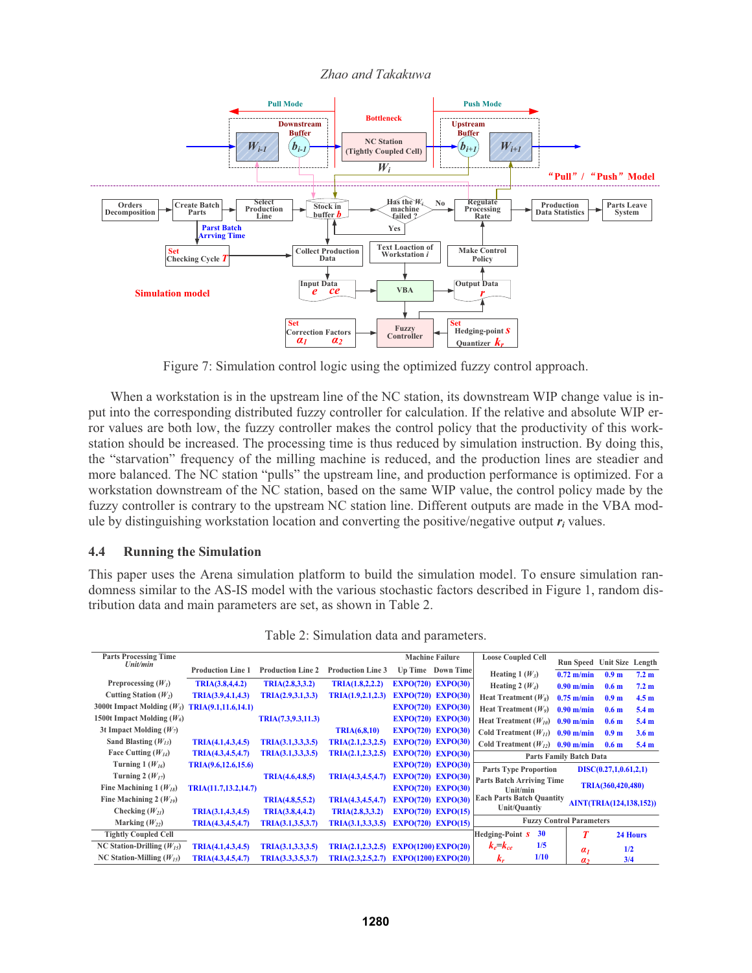*Zhao and Takakuwa* 



Figure 7: Simulation control logic using the optimized fuzzy control approach.

When a workstation is in the upstream line of the NC station, its downstream WIP change value is input into the corresponding distributed fuzzy controller for calculation. If the relative and absolute WIP error values are both low, the fuzzy controller makes the control policy that the productivity of this workstation should be increased. The processing time is thus reduced by simulation instruction. By doing this, the "starvation" frequency of the milling machine is reduced, and the production lines are steadier and more balanced. The NC station "pulls" the upstream line, and production performance is optimized. For a workstation downstream of the NC station, based on the same WIP value, the control policy made by the fuzzy controller is contrary to the upstream NC station line. Different outputs are made in the VBA module by distinguishing workstation location and converting the positive/negative output  $r_i$  values.

# **4.4 Running the Simulation**

This paper uses the Arena simulation platform to build the simulation model. To ensure simulation randomness similar to the AS-IS model with the various stochastic factors described in Figure 1, random distribution data and main parameters are set, as shown in Table 2.

| <b>Parts Processing Time</b><br>Unit/min |                          | <b>Machine Failure</b>   |                          |  | <b>Loose Coupled Cell</b>  | Run Speed Unit Size Length                                       |                                 |                                |                  |  |
|------------------------------------------|--------------------------|--------------------------|--------------------------|--|----------------------------|------------------------------------------------------------------|---------------------------------|--------------------------------|------------------|--|
|                                          | <b>Production Line 1</b> | <b>Production Line 2</b> | <b>Production Line 3</b> |  | Up Time Down Time          | Heating 1 $(W_3)$                                                | $0.72$ m/min                    | 0.9 <sub>m</sub>               | 7.2 <sub>m</sub> |  |
| Preprocessing $(W_I)$                    | TRIA(3.8,4,4.2)          | TRIA(2.8,3,3.2)          | TRIA(1.8, 2, 2.2)        |  | <b>EXPO(720) EXPO(30)</b>  | Heating 2 $(W_4)$                                                | $0.90$ m/min                    | 0.6 <sub>m</sub>               | 7.2 <sub>m</sub> |  |
| Cutting Station $(W_2)$                  | TRIA(3.9,4.1,4.3)        | TRIA(2.9,3.1,3.3)        | TRIA(1.9,2.1,2.3)        |  | <b>EXPO(720) EXPO(30)</b>  | Heat Treatment $(W_8)$                                           | $0.75$ m/min                    | 0.9 <sub>m</sub>               | 4.5 <sub>m</sub> |  |
| 3000t Impact Molding $(W_5)$             | TRIA(9.1,11.6,14.1)      |                          |                          |  | <b>EXPO(720) EXPO(30)</b>  | Heat Treatment $(W_9)$                                           | $0.90$ m/min                    | 0.6 <sub>m</sub>               | 5.4 <sub>m</sub> |  |
| 1500t Impact Molding $(W_6)$             |                          | TRIA(7.3,9.3,11.3)       |                          |  | <b>EXPO(720) EXPO(30)</b>  | Heat Treatment $(W_{10})$                                        | $0.90$ m/min                    | 0.6 <sub>m</sub>               | 5.4 <sub>m</sub> |  |
| 3t Impact Molding $(W_7)$                |                          |                          | <b>TRIA(6,8,10)</b>      |  | <b>EXPO(720) EXPO(30)</b>  | Cold Treatment $(W_{11})$                                        | $0.90$ m/min                    | 0.9 <sub>m</sub>               | 3.6 <sub>m</sub> |  |
| Sand Blasting $(W_{13})$                 | TRIA(4.1,4.3,4.5)        | TRIA(3.1,3.3,3.5)        | TRIA(2.1,2.3,2.5)        |  | <b>EXPO(720) EXPO(30)</b>  | Cold Treatment $(W_{12})$                                        | $0.90$ m/min                    | 0.6 <sub>m</sub>               | 5.4 <sub>m</sub> |  |
| Face Cutting $(W_{14})$                  | TRIA(4.3,4.5,4.7)        | TRIA(3.1,3.3,3.5)        | TRIA(2.1, 2.3, 2.5)      |  | $EXPO(720)$ $EXPO(30)$     | Parts Family Batch Data                                          |                                 |                                |                  |  |
| Turning 1 $(W_{16})$                     | TRIA(9.6, 12.6, 15.6)    |                          |                          |  | <b>EXPO(720) EXPO(30)</b>  |                                                                  |                                 |                                |                  |  |
| Turning 2 $(W_{17})$                     |                          | TRIA(4.6,4.8,5)          | TRIA(4.3,4.5,4.7)        |  | <b>EXPO(720) EXPO(30)</b>  | <b>Parts Type Proportion</b><br><b>Parts Batch Arriving Time</b> |                                 | DISC(0.27,1,0.61,2,1)          |                  |  |
| Fine Machining 1 $(W_{18})$              | TRIA(11.7,13.2,14.7)     |                          |                          |  | <b>EXPO(720) EXPO(30)</b>  | Unit/min                                                         |                                 | TRIA(360,420,480)              |                  |  |
| Fine Machining 2 $(W_{19})$              |                          | TRIA(4.8, 5, 5.2)        | TRIA(4.3,4.5,4.7)        |  | <b>EXPO(720) EXPO(30)</b>  | <b>Each Parts Batch Quantity</b>                                 |                                 | <b>AINT(TRIA(124,138,152))</b> |                  |  |
| Checking $(W_{2l})$                      | TRIA(3.1,4.3,4.5)        | TRIA(3.8, 4.4.2)         | TRIA(2.8,3,3.2)          |  | <b>EXPO(720) EXPO(15)</b>  | Unit/Quantiy                                                     |                                 |                                |                  |  |
| Marking $(W_{22})$                       | TRIA(4.3,4.5,4.7)        | TRIA(3.1,3.5,3.7)        | TRIA(3.1,3.3,3.5)        |  | $EXPO(720)$ $EXPO(15)$     |                                                                  | <b>Fuzzy Control Parameters</b> |                                |                  |  |
| <b>Tightly Coupled Cell</b>              |                          |                          |                          |  |                            | 30<br>Hedging-Point S                                            | $\boldsymbol{\mathit{T}}$       |                                | 24 Hours         |  |
| NC Station-Drilling $(W_{15})$           | TRIA(4.1,4.3,4.5)        | TRIA(3.1,3.3,3.5)        | TRIA(2.1, 2.3, 2.5)      |  | <b>EXPO(1200) EXPO(20)</b> | $k_e = k_{ce}$<br>1/5                                            |                                 | 1/2                            |                  |  |
| NC Station-Milling $(W_{15})$            | TRIA(4.3,4.5,4.7)        | TRIA(3.3,3.5,3.7)        | TRIA(2.3, 2.5, 2.7)      |  | EXPO(1200) EXPO(20)        | 1/10<br>$k_{r}$                                                  | a <sub>I</sub><br>$\alpha$      | 3/4                            |                  |  |
|                                          |                          |                          |                          |  |                            |                                                                  |                                 |                                |                  |  |

Table 2: Simulation data and parameters.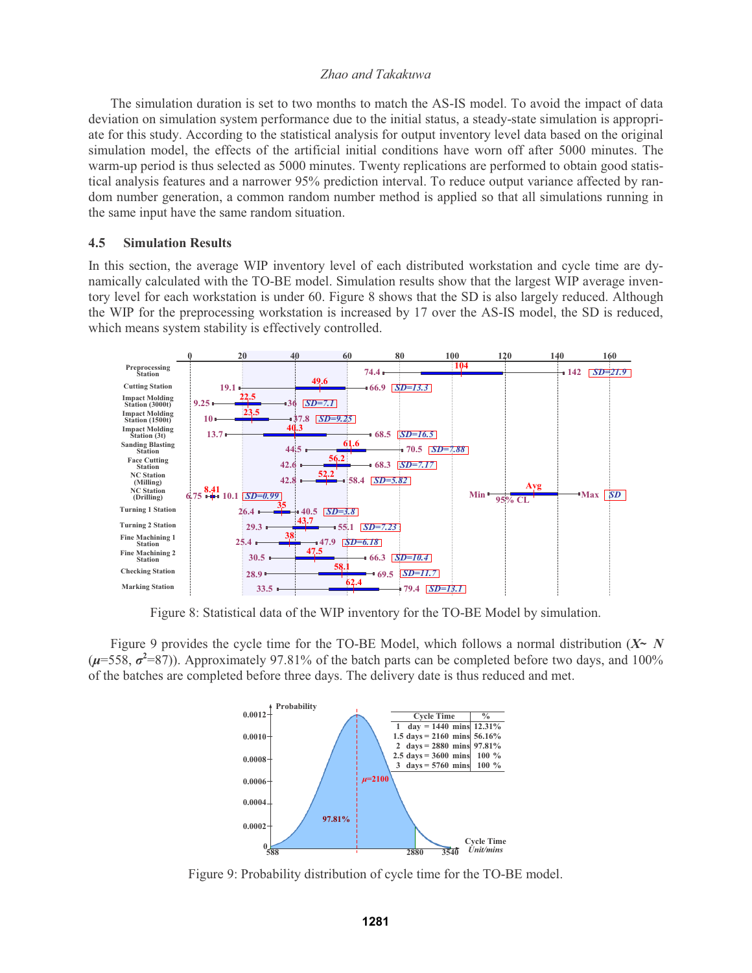The simulation duration is set to two months to match the AS-IS model. To avoid the impact of data deviation on simulation system performance due to the initial status, a steady-state simulation is appropriate for this study. According to the statistical analysis for output inventory level data based on the original simulation model, the effects of the artificial initial conditions have worn off after 5000 minutes. The warm-up period is thus selected as 5000 minutes. Twenty replications are performed to obtain good statistical analysis features and a narrower 95% prediction interval. To reduce output variance affected by random number generation, a common random number method is applied so that all simulations running in the same input have the same random situation.

### **4.5 Simulation Results**

In this section, the average WIP inventory level of each distributed workstation and cycle time are dynamically calculated with the TO-BE model. Simulation results show that the largest WIP average inventory level for each workstation is under 60. Figure 8 shows that the SD is also largely reduced. Although the WIP for the preprocessing workstation is increased by 17 over the AS-IS model, the SD is reduced, which means system stability is effectively controlled.



Figure 8: Statistical data of the WIP inventory for the TO-BE Model by simulation.

Figure 9 provides the cycle time for the TO-BE Model, which follows a normal distribution  $(X \sim N)$  $(\mu = 558, \sigma^2 = 87)$ ). Approximately 97.81% of the batch parts can be completed before two days, and 100% of the batches are completed before three days. The delivery date is thus reduced and met.



Figure 9: Probability distribution of cycle time for the TO-BE model.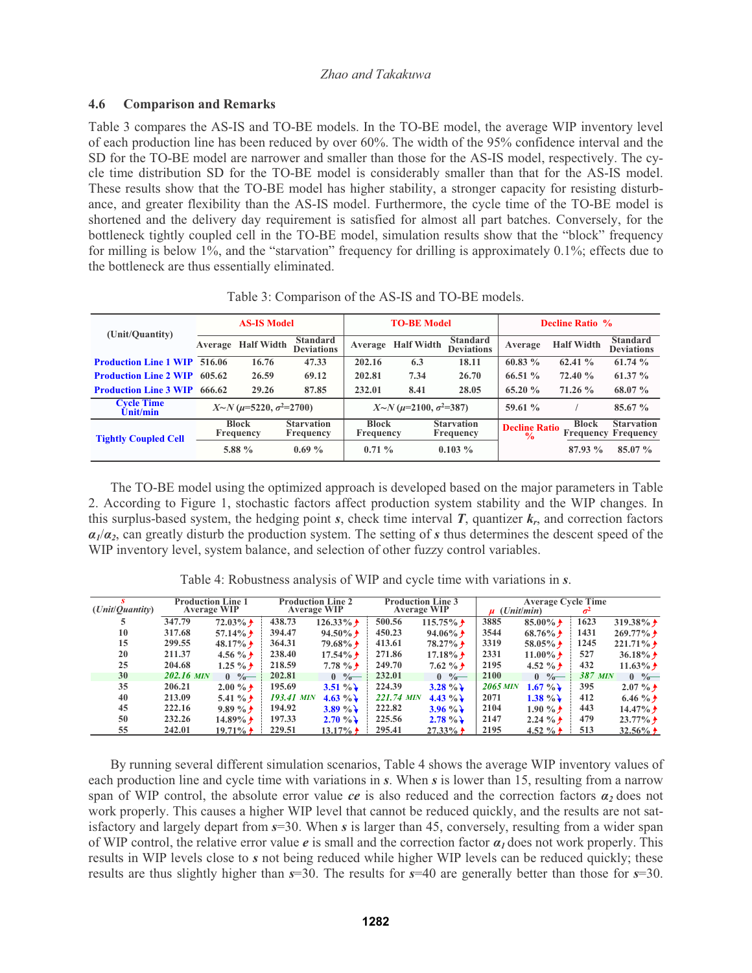# **4.6 Comparison and Remarks**

Table 3 compares the AS-IS and TO-BE models. In the TO-BE model, the average WIP inventory level of each production line has been reduced by over 60%. The width of the 95% confidence interval and the SD for the TO-BE model are narrower and smaller than those for the AS-IS model, respectively. The cycle time distribution SD for the TO-BE model is considerably smaller than that for the AS-IS model. These results show that the TO-BE model has higher stability, a stronger capacity for resisting disturbance, and greater flexibility than the AS-IS model. Furthermore, the cycle time of the TO-BE model is shortened and the delivery day requirement is satisfied for almost all part batches. Conversely, for the bottleneck tightly coupled cell in the TO-BE model, simulation results show that the "block" frequency for milling is below 1%, and the "starvation" frequency for drilling is approximately 0.1%; effects due to the bottleneck are thus essentially eliminated.

|                               |                           | <b>AS-IS Model</b>                                     |                                      |                           | <b>TO-BE Model</b>                                    |                                      | <b>Decline Ratio</b> %                |                           |                                      |  |
|-------------------------------|---------------------------|--------------------------------------------------------|--------------------------------------|---------------------------|-------------------------------------------------------|--------------------------------------|---------------------------------------|---------------------------|--------------------------------------|--|
| (Unit/Quantity)               | Average                   | <b>Half Width</b>                                      | <b>Standard</b><br><b>Deviations</b> | Average                   | <b>Half Width</b>                                     | <b>Standard</b><br><b>Deviations</b> | Average                               | <b>Half Width</b>         | <b>Standard</b><br><b>Deviations</b> |  |
| <b>Production Line 1 WIP</b>  | 516.06                    | 16.76                                                  | 47.33                                | 202.16                    | 6.3                                                   | 18.11                                | $60.83\%$                             | 62.41%                    | 61.74%                               |  |
| <b>Production Line 2 WIP</b>  | 605.62                    | 26.59                                                  | 69.12                                | 202.81                    | 7.34                                                  | 26.70                                | 66.51%                                | 72.40 %                   | $61.37\%$                            |  |
| <b>Production Line 3 WIP</b>  | 666.62                    | 29.26                                                  | 87.85                                | 232.01                    | 8.41                                                  | 28.05                                | $65.20 \%$                            | 71.26 %                   | 68.07 %                              |  |
| <b>Cvcle Time</b><br>Únit/min |                           | $X \sim N$ ( $\mu$ =5220, $\sigma$ <sup>2</sup> =2700) |                                      |                           | $X \sim N$ ( $\mu$ =2100, $\sigma$ <sup>2</sup> =387) |                                      | 59.61 %                               |                           | $85.67\%$                            |  |
| <b>Tightly Coupled Cell</b>   | <b>Block</b><br>Frequency |                                                        | <b>Starvation</b><br>Frequency       | <b>Block</b><br>Frequency |                                                       | <b>Starvation</b><br>Frequency       | <b>Decline Ratio</b><br>$\frac{6}{6}$ | <b>Block</b><br>Frequency | <b>Starvation</b><br>Frequency       |  |
|                               |                           | 5.88 $%$                                               | $0.69\%$                             | $0.71\%$                  |                                                       | $0.103\%$                            |                                       | $87.93\%$                 | $85.07\%$                            |  |

Table 3: Comparison of the AS-IS and TO-BE models.

The TO-BE model using the optimized approach is developed based on the major parameters in Table 2. According to Figure 1, stochastic factors affect production system stability and the WIP changes. In this surplus-based system, the hedging point  $s$ , check time interval  $T$ , quantizer  $k_r$ , and correction factors  $a_1/a_2$ , can greatly disturb the production system. The setting of *s* thus determines the descent speed of the WIP inventory level, system balance, and selection of other fuzzy control variables.

|                 | <b>Production Line 1</b><br><b>Average WIP</b> |                         | <b>Production Line 2</b><br><b>Average WIP</b> |                      |            | <b>Production Line 3</b> | <b>Average Cycle Time</b> |                         |         |                       |
|-----------------|------------------------------------------------|-------------------------|------------------------------------------------|----------------------|------------|--------------------------|---------------------------|-------------------------|---------|-----------------------|
| (Unit/Quantity) |                                                |                         |                                                |                      |            | <b>Average WIP</b>       | $\mu$ ( <i>Unit/min</i> ) |                         |         |                       |
|                 | 347.79                                         | $72.03\%$ $\rightarrow$ | 438.73                                         | $126.33\%$           | 500.56     | 115.75% $\star$          | 3885                      | 85.00% $\star$          | 1623    | 319.38% $\frac{4}{7}$ |
| 10              | 317.68                                         | $57.14\%$               | 394.47                                         | 94.50% $\star$       | 450.23     | 94.06% $\star$           | 3544                      | $68.76\%$               | 1431    | $269.77\%$            |
| 15              | 299.55                                         | 48.17% $\star$          | 364.31                                         | $79.68\%$            | 413.61     | $78.27\%$                | 3319                      | $58.05\%$ $\star$       | 1245    | $221.71\%$            |
| 20              | 211.37                                         | 4.56 % $\star$          | 238.40                                         | $17.54\%$ $\star$    | 271.86     | $17.18\%$                | 2331                      | $11.00\%$ $\rightarrow$ | 527     | $36.18\%$             |
| 25              | 204.68                                         | 1.25 % $\star$          | 218.59                                         | 7.78 % $\frac{1}{2}$ | 249.70     | 7.62 % $\star$           | 2195                      | 4.52 % $\star$          | 432     | 11.63% $\star$        |
| 30              | 202.16 MIN                                     | $0 \frac{9}{6}$         | 202.81                                         | $0 \frac{9}{6}$      | 232.01     | $0 \frac{9}{6}$          | 2100                      | $0 \frac{9}{6}$         | 387 MIN | $0 \frac{9}{6}$       |
| 35              | 206.21                                         | $2.00 \%$               | 195.69                                         | 3.51 %               | 224.39     | 3.28 %                   | <b>2065 MIN</b>           | $1.67 \%$               | 395     | $2.07 \%$             |
| 40              | 213.09                                         | 5.41 % $\star$          | 193.41 MIN                                     | 4.63 %               | 221.74 MIN | 4.43 %                   | 2071                      | 1.38 % $\lambda$        | 412     | $6.46 \%$             |
| 45              | 222.16                                         | 9.89 % $\star$          | 194.92                                         | 3.89 %               | 222.82     | 3.96 %                   | 2104                      | 1.90 % $\star$          | 443     | 14.47% $\star$        |
| 50              | 232.26                                         | 14.89% $\star$          | 197.33                                         | $2.70 \%$            | 225.56     | $2.78 \%$                | 2147                      | $2.24 \%$               | 479     | $23.77\%$             |
| 55              | 242.01                                         | $19.71\%$               | 229.51                                         | $13.17\%$            | 295.41     | $27.33\%$                | 2195                      | 4.52 % $\star$          | 513     | $32.56\%$             |

Table 4: Robustness analysis of WIP and cycle time with variations in *s*.

By running several different simulation scenarios, Table 4 shows the average WIP inventory values of each production line and cycle time with variations in *s*. When *s* is lower than 15, resulting from a narrow span of WIP control, the absolute error value *ce* is also reduced and the correction factors *α2* does not work properly. This causes a higher WIP level that cannot be reduced quickly, and the results are not satisfactory and largely depart from *s*=30. When *s* is larger than 45, conversely, resulting from a wider span of WIP control, the relative error value *e* is small and the correction factor *α1* does not work properly. This results in WIP levels close to *s* not being reduced while higher WIP levels can be reduced quickly; these results are thus slightly higher than *s*=30. The results for *s*=40 are generally better than those for *s*=30.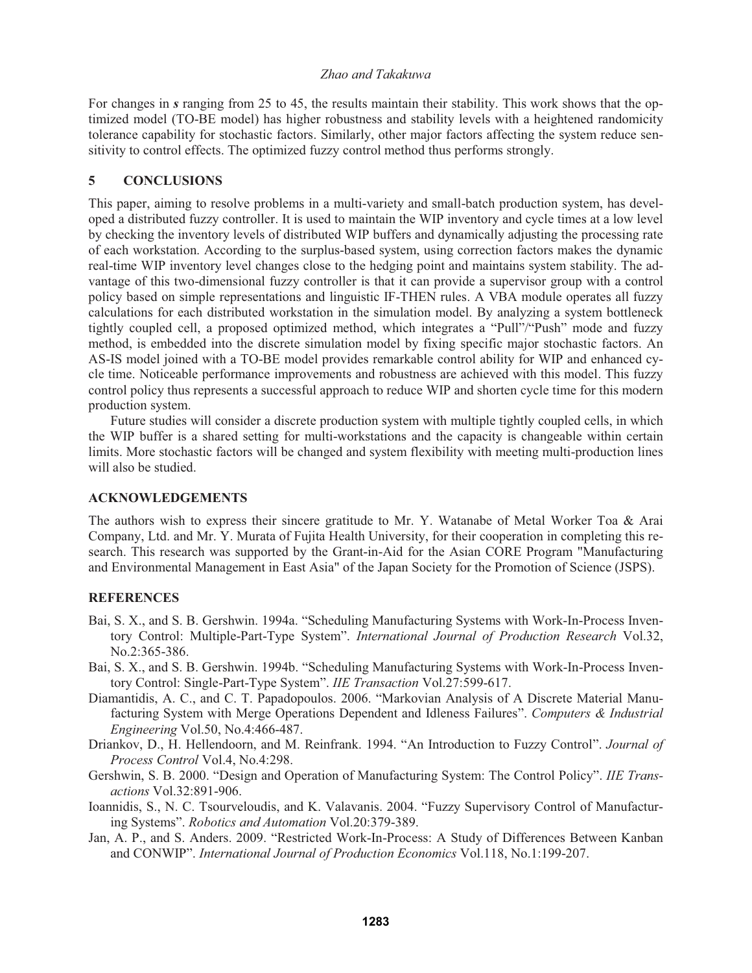For changes in *s* ranging from 25 to 45, the results maintain their stability. This work shows that the optimized model (TO-BE model) has higher robustness and stability levels with a heightened randomicity tolerance capability for stochastic factors. Similarly, other major factors affecting the system reduce sensitivity to control effects. The optimized fuzzy control method thus performs strongly.

# **5 CONCLUSIONS**

This paper, aiming to resolve problems in a multi-variety and small-batch production system, has developed a distributed fuzzy controller. It is used to maintain the WIP inventory and cycle times at a low level by checking the inventory levels of distributed WIP buffers and dynamically adjusting the processing rate of each workstation. According to the surplus-based system, using correction factors makes the dynamic real-time WIP inventory level changes close to the hedging point and maintains system stability. The advantage of this two-dimensional fuzzy controller is that it can provide a supervisor group with a control policy based on simple representations and linguistic IF-THEN rules. A VBA module operates all fuzzy calculations for each distributed workstation in the simulation model. By analyzing a system bottleneck tightly coupled cell, a proposed optimized method, which integrates a "Pull"/"Push" mode and fuzzy method, is embedded into the discrete simulation model by fixing specific major stochastic factors. An AS-IS model joined with a TO-BE model provides remarkable control ability for WIP and enhanced cycle time. Noticeable performance improvements and robustness are achieved with this model. This fuzzy control policy thus represents a successful approach to reduce WIP and shorten cycle time for this modern production system.

Future studies will consider a discrete production system with multiple tightly coupled cells, in which the WIP buffer is a shared setting for multi-workstations and the capacity is changeable within certain limits. More stochastic factors will be changed and system flexibility with meeting multi-production lines will also be studied.

# **ACKNOWLEDGEMENTS**

The authors wish to express their sincere gratitude to Mr. Y. Watanabe of Metal Worker Toa & Arai Company, Ltd. and Mr. Y. Murata of Fujita Health University, for their cooperation in completing this research. This research was supported by the Grant-in-Aid for the Asian CORE Program "Manufacturing and Environmental Management in East Asia" of the Japan Society for the Promotion of Science (JSPS).

# **REFERENCES**

- Bai, S. X., and S. B. Gershwin. 1994a. "Scheduling Manufacturing Systems with Work-In-Process Inventory Control: Multiple-Part-Type System". *International Journal of Production Research* Vol.32, No.2:365-386.
- Bai, S. X., and S. B. Gershwin. 1994b. "Scheduling Manufacturing Systems with Work-In-Process Inventory Control: Single-Part-Type System". *IIE Transaction* Vol.27:599-617.
- Diamantidis, A. C., and C. T. Papadopoulos. 2006. "Markovian Analysis of A Discrete Material Manufacturing System with Merge Operations Dependent and Idleness Failures". *Computers & Industrial Engineering* Vol.50, No.4:466-487.
- Driankov, D., H. Hellendoorn, and M. Reinfrank. 1994. "An Introduction to Fuzzy Control". *Journal of Process Control* Vol.4, No.4:298.
- Gershwin, S. B. 2000. "Design and Operation of Manufacturing System: The Control Policy". *IIE Transactions* Vol.32:891-906.
- Ioannidis, S., N. C. Tsourveloudis, and K. Valavanis. 2004. "Fuzzy Supervisory Control of Manufacturing Systems". *Robotics and Automation* Vol.20:379-389.
- Jan, A. P., and S. Anders. 2009. "Restricted Work-In-Process: A Study of Differences Between Kanban and CONWIP". *International Journal of Production Economics* Vol.118, No.1:199-207.